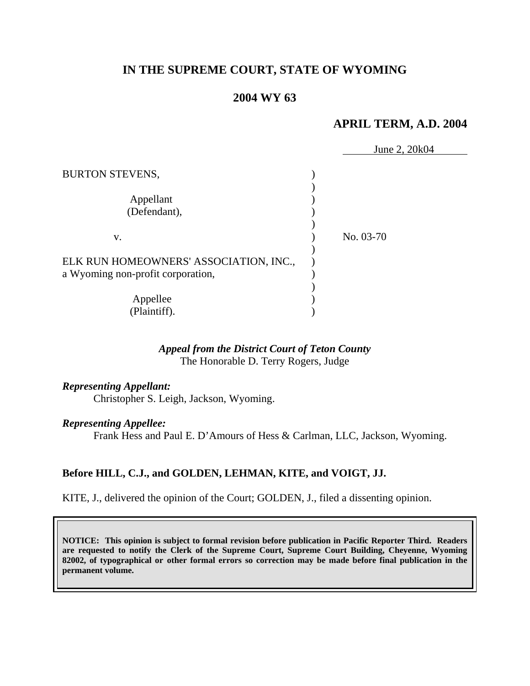# **IN THE SUPREME COURT, STATE OF WYOMING**

## **2004 WY 63**

### **APRIL TERM, A.D. 2004**

|                                        | June 2, 20k04 |
|----------------------------------------|---------------|
| <b>BURTON STEVENS,</b>                 |               |
| Appellant                              |               |
| (Defendant),                           |               |
| V.                                     | No. 03-70     |
| ELK RUN HOMEOWNERS' ASSOCIATION, INC., |               |
| a Wyoming non-profit corporation,      |               |
|                                        |               |
| Appellee                               |               |
| (Plaintiff).                           |               |

#### *Appeal from the District Court of Teton County* The Honorable D. Terry Rogers, Judge

# *Representing Appellant:*

Christopher S. Leigh, Jackson, Wyoming.

#### *Representing Appellee:*

Frank Hess and Paul E. D'Amours of Hess & Carlman, LLC, Jackson, Wyoming.

# **Before HILL, C.J., and GOLDEN, LEHMAN, KITE, and VOIGT, JJ.**

KITE, J., delivered the opinion of the Court; GOLDEN, J., filed a dissenting opinion.

**NOTICE: This opinion is subject to formal revision before publication in Pacific Reporter Third. Readers are requested to notify the Clerk of the Supreme Court, Supreme Court Building, Cheyenne, Wyoming 82002, of typographical or other formal errors so correction may be made before final publication in the permanent volume.**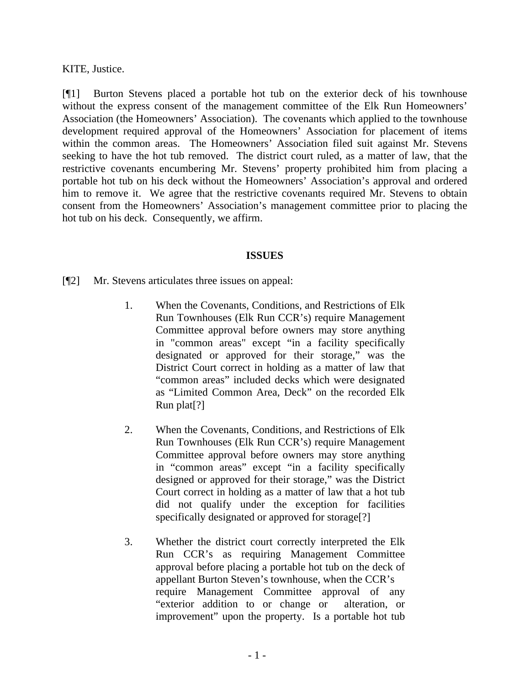KITE, Justice.

[¶1] Burton Stevens placed a portable hot tub on the exterior deck of his townhouse without the express consent of the management committee of the Elk Run Homeowners' Association (the Homeowners' Association). The covenants which applied to the townhouse development required approval of the Homeowners' Association for placement of items within the common areas. The Homeowners' Association filed suit against Mr. Stevens seeking to have the hot tub removed. The district court ruled, as a matter of law, that the restrictive covenants encumbering Mr. Stevens' property prohibited him from placing a portable hot tub on his deck without the Homeowners' Association's approval and ordered him to remove it. We agree that the restrictive covenants required Mr. Stevens to obtain consent from the Homeowners' Association's management committee prior to placing the hot tub on his deck. Consequently, we affirm.

### **ISSUES**

[¶2] Mr. Stevens articulates three issues on appeal:

- 1. When the Covenants, Conditions, and Restrictions of Elk Run Townhouses (Elk Run CCR's) require Management Committee approval before owners may store anything in "common areas" except "in a facility specifically designated or approved for their storage," was the District Court correct in holding as a matter of law that "common areas" included decks which were designated as "Limited Common Area, Deck" on the recorded Elk Run plat[?]
- 2. When the Covenants, Conditions, and Restrictions of Elk Run Townhouses (Elk Run CCR's) require Management Committee approval before owners may store anything in "common areas" except "in a facility specifically designed or approved for their storage," was the District Court correct in holding as a matter of law that a hot tub did not qualify under the exception for facilities specifically designated or approved for storage[?]
- 3. Whether the district court correctly interpreted the Elk Run CCR's as requiring Management Committee approval before placing a portable hot tub on the deck of appellant Burton Steven's townhouse, when the CCR's require Management Committee approval of any "exterior addition to or change or alteration, or improvement" upon the property. Is a portable hot tub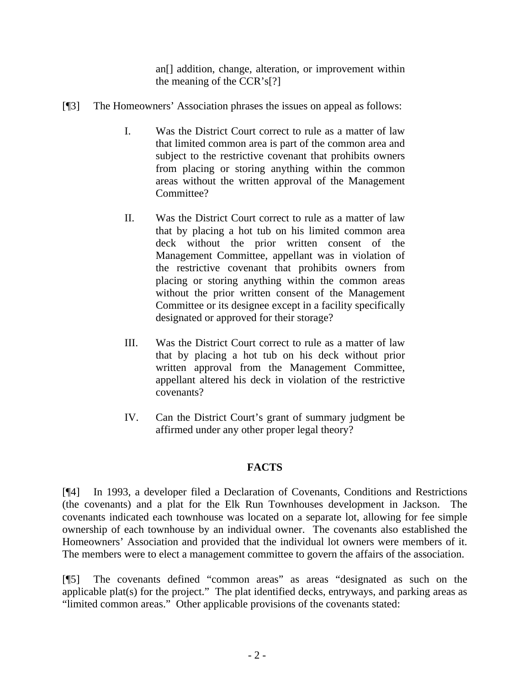an<sup>[]</sup> addition, change, alteration, or improvement within the meaning of the CCR's[?]

- [¶3] The Homeowners' Association phrases the issues on appeal as follows:
	- I. Was the District Court correct to rule as a matter of law that limited common area is part of the common area and subject to the restrictive covenant that prohibits owners from placing or storing anything within the common areas without the written approval of the Management Committee?
	- II. Was the District Court correct to rule as a matter of law that by placing a hot tub on his limited common area deck without the prior written consent of the Management Committee, appellant was in violation of the restrictive covenant that prohibits owners from placing or storing anything within the common areas without the prior written consent of the Management Committee or its designee except in a facility specifically designated or approved for their storage?
	- III. Was the District Court correct to rule as a matter of law that by placing a hot tub on his deck without prior written approval from the Management Committee, appellant altered his deck in violation of the restrictive covenants?
	- IV. Can the District Court's grant of summary judgment be affirmed under any other proper legal theory?

# **FACTS**

[¶4] In 1993, a developer filed a Declaration of Covenants, Conditions and Restrictions (the covenants) and a plat for the Elk Run Townhouses development in Jackson. The covenants indicated each townhouse was located on a separate lot, allowing for fee simple ownership of each townhouse by an individual owner. The covenants also established the Homeowners' Association and provided that the individual lot owners were members of it. The members were to elect a management committee to govern the affairs of the association.

[¶5] The covenants defined "common areas" as areas "designated as such on the applicable plat(s) for the project." The plat identified decks, entryways, and parking areas as "limited common areas." Other applicable provisions of the covenants stated: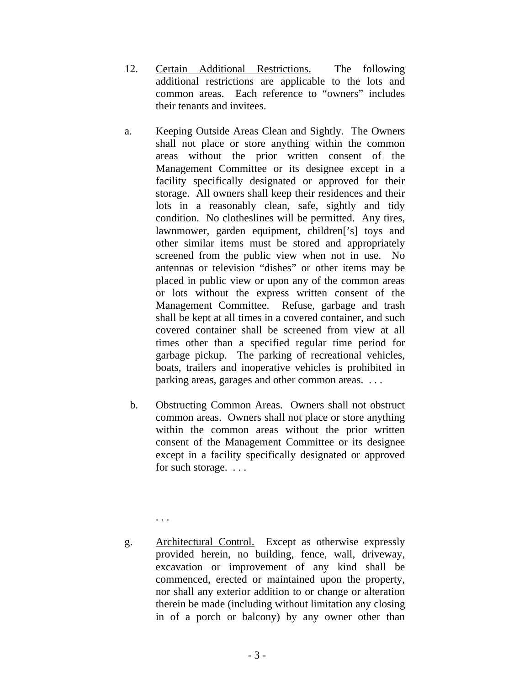- 12. Certain Additional Restrictions. The following additional restrictions are applicable to the lots and common areas. Each reference to "owners" includes their tenants and invitees.
- a. Keeping Outside Areas Clean and Sightly. The Owners shall not place or store anything within the common areas without the prior written consent of the Management Committee or its designee except in a facility specifically designated or approved for their storage. All owners shall keep their residences and their lots in a reasonably clean, safe, sightly and tidy condition. No clotheslines will be permitted. Any tires, lawnmower, garden equipment, children<sup>['s]</sup> toys and other similar items must be stored and appropriately screened from the public view when not in use. No antennas or television "dishes" or other items may be placed in public view or upon any of the common areas or lots without the express written consent of the Management Committee. Refuse, garbage and trash shall be kept at all times in a covered container, and such covered container shall be screened from view at all times other than a specified regular time period for garbage pickup. The parking of recreational vehicles, boats, trailers and inoperative vehicles is prohibited in parking areas, garages and other common areas. . . .
- b. Obstructing Common Areas. Owners shall not obstruct common areas. Owners shall not place or store anything within the common areas without the prior written consent of the Management Committee or its designee except in a facility specifically designated or approved for such storage. . . .
- g. Architectural Control. Except as otherwise expressly provided herein, no building, fence, wall, driveway, excavation or improvement of any kind shall be commenced, erected or maintained upon the property, nor shall any exterior addition to or change or alteration therein be made (including without limitation any closing in of a porch or balcony) by any owner other than

. . .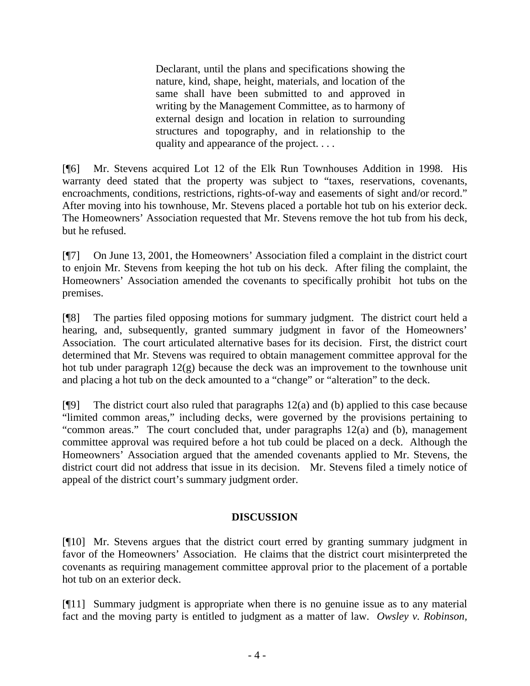Declarant, until the plans and specifications showing the nature, kind, shape, height, materials, and location of the same shall have been submitted to and approved in writing by the Management Committee, as to harmony of external design and location in relation to surrounding structures and topography, and in relationship to the quality and appearance of the project. . . .

[¶6] Mr. Stevens acquired Lot 12 of the Elk Run Townhouses Addition in 1998. His warranty deed stated that the property was subject to "taxes, reservations, covenants, encroachments, conditions, restrictions, rights-of-way and easements of sight and/or record." After moving into his townhouse, Mr. Stevens placed a portable hot tub on his exterior deck. The Homeowners' Association requested that Mr. Stevens remove the hot tub from his deck, but he refused.

[¶7] On June 13, 2001, the Homeowners' Association filed a complaint in the district court to enjoin Mr. Stevens from keeping the hot tub on his deck. After filing the complaint, the Homeowners' Association amended the covenants to specifically prohibit hot tubs on the premises.

[¶8] The parties filed opposing motions for summary judgment. The district court held a hearing, and, subsequently, granted summary judgment in favor of the Homeowners' Association. The court articulated alternative bases for its decision. First, the district court determined that Mr. Stevens was required to obtain management committee approval for the hot tub under paragraph 12(g) because the deck was an improvement to the townhouse unit and placing a hot tub on the deck amounted to a "change" or "alteration" to the deck.

[¶9] The district court also ruled that paragraphs 12(a) and (b) applied to this case because "limited common areas," including decks, were governed by the provisions pertaining to "common areas." The court concluded that, under paragraphs 12(a) and (b), management committee approval was required before a hot tub could be placed on a deck. Although the Homeowners' Association argued that the amended covenants applied to Mr. Stevens, the district court did not address that issue in its decision. Mr. Stevens filed a timely notice of appeal of the district court's summary judgment order.

### **DISCUSSION**

[¶10] Mr. Stevens argues that the district court erred by granting summary judgment in favor of the Homeowners' Association. He claims that the district court misinterpreted the covenants as requiring management committee approval prior to the placement of a portable hot tub on an exterior deck.

[¶11] Summary judgment is appropriate when there is no genuine issue as to any material fact and the moving party is entitled to judgment as a matter of law. *Owsley v. Robinson,*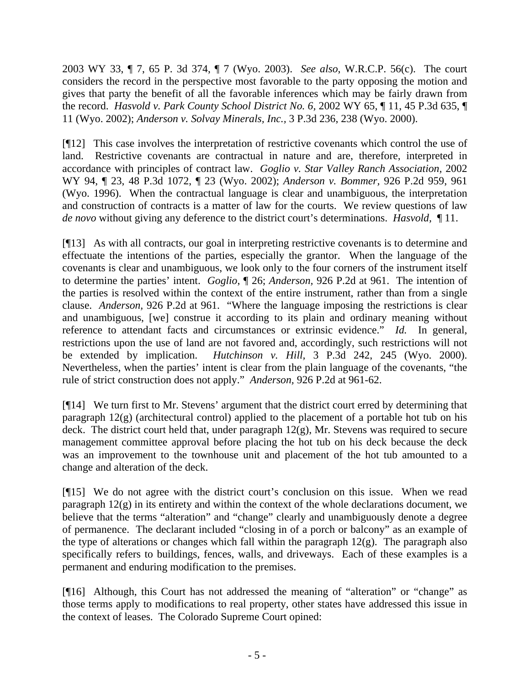2003 WY 33, ¶ 7, 65 P. 3d 374, ¶ 7 (Wyo. 2003). *See also*, W.R.C.P. 56(c). The court considers the record in the perspective most favorable to the party opposing the motion and gives that party the benefit of all the favorable inferences which may be fairly drawn from the record. *Hasvold v. Park County School District No. 6,* 2002 WY 65, ¶ 11, 45 P.3d 635, ¶ 11 (Wyo. 2002); *Anderson v. Solvay Minerals, Inc.,* 3 P.3d 236, 238 (Wyo. 2000).

[¶12] This case involves the interpretation of restrictive covenants which control the use of land. Restrictive covenants are contractual in nature and are, therefore, interpreted in accordance with principles of contract law. *Goglio v. Star Valley Ranch Association,* 2002 WY 94, ¶ 23, 48 P.3d 1072, ¶ 23 (Wyo. 2002); *Anderson v. Bommer,* 926 P.2d 959, 961 (Wyo. 1996). When the contractual language is clear and unambiguous, the interpretation and construction of contracts is a matter of law for the courts. We review questions of law *de novo* without giving any deference to the district court's determinations. *Hasvold,* ¶ 11.

[¶13] As with all contracts, our goal in interpreting restrictive covenants is to determine and effectuate the intentions of the parties, especially the grantor. When the language of the covenants is clear and unambiguous, we look only to the four corners of the instrument itself to determine the parties' intent. *Goglio*, ¶ 26; *Anderson,* 926 P.2d at 961. The intention of the parties is resolved within the context of the entire instrument, rather than from a single clause. *Anderson,* 926 P.2d at 961. "Where the language imposing the restrictions is clear and unambiguous, [we] construe it according to its plain and ordinary meaning without reference to attendant facts and circumstances or extrinsic evidence." *Id.* In general, restrictions upon the use of land are not favored and, accordingly, such restrictions will not be extended by implication. *Hutchinson v. Hill,* 3 P.3d 242, 245 (Wyo. 2000). Nevertheless, when the parties' intent is clear from the plain language of the covenants, "the rule of strict construction does not apply." *Anderson,* 926 P.2d at 961-62.

[¶14] We turn first to Mr. Stevens' argument that the district court erred by determining that paragraph 12(g) (architectural control) applied to the placement of a portable hot tub on his deck. The district court held that, under paragraph  $12(g)$ , Mr. Stevens was required to secure management committee approval before placing the hot tub on his deck because the deck was an improvement to the townhouse unit and placement of the hot tub amounted to a change and alteration of the deck.

[¶15] We do not agree with the district court's conclusion on this issue. When we read paragraph 12(g) in its entirety and within the context of the whole declarations document, we believe that the terms "alteration" and "change" clearly and unambiguously denote a degree of permanence. The declarant included "closing in of a porch or balcony" as an example of the type of alterations or changes which fall within the paragraph 12(g). The paragraph also specifically refers to buildings, fences, walls, and driveways. Each of these examples is a permanent and enduring modification to the premises.

[¶16] Although, this Court has not addressed the meaning of "alteration" or "change" as those terms apply to modifications to real property, other states have addressed this issue in the context of leases. The Colorado Supreme Court opined: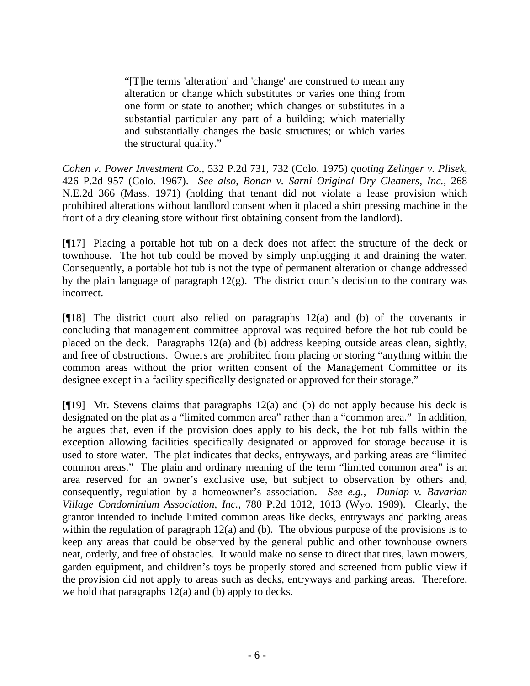"[T]he terms 'alteration' and 'change' are construed to mean any alteration or change which substitutes or varies one thing from one form or state to another; which changes or substitutes in a substantial particular any part of a building; which materially and substantially changes the basic structures; or which varies the structural quality."

*Cohen v. Power Investment Co.,* 532 P.2d 731, 732 (Colo. 1975) *quoting Zelinger v. Plisek,*  426 P.2d 957 (Colo. 1967). *See also*, *Bonan v. Sarni Original Dry Cleaners, Inc.,* 268 N.E.2d 366 (Mass. 1971) (holding that tenant did not violate a lease provision which prohibited alterations without landlord consent when it placed a shirt pressing machine in the front of a dry cleaning store without first obtaining consent from the landlord).

[¶17] Placing a portable hot tub on a deck does not affect the structure of the deck or townhouse. The hot tub could be moved by simply unplugging it and draining the water. Consequently, a portable hot tub is not the type of permanent alteration or change addressed by the plain language of paragraph  $12(g)$ . The district court's decision to the contrary was incorrect.

[¶18] The district court also relied on paragraphs 12(a) and (b) of the covenants in concluding that management committee approval was required before the hot tub could be placed on the deck. Paragraphs 12(a) and (b) address keeping outside areas clean, sightly, and free of obstructions. Owners are prohibited from placing or storing "anything within the common areas without the prior written consent of the Management Committee or its designee except in a facility specifically designated or approved for their storage."

[¶19] Mr. Stevens claims that paragraphs 12(a) and (b) do not apply because his deck is designated on the plat as a "limited common area" rather than a "common area." In addition, he argues that, even if the provision does apply to his deck, the hot tub falls within the exception allowing facilities specifically designated or approved for storage because it is used to store water. The plat indicates that decks, entryways, and parking areas are "limited common areas." The plain and ordinary meaning of the term "limited common area" is an area reserved for an owner's exclusive use, but subject to observation by others and, consequently, regulation by a homeowner's association. *See e.g., Dunlap v. Bavarian Village Condominium Association, Inc.,* 780 P.2d 1012, 1013 (Wyo. 1989). Clearly, the grantor intended to include limited common areas like decks, entryways and parking areas within the regulation of paragraph 12(a) and (b). The obvious purpose of the provisions is to keep any areas that could be observed by the general public and other townhouse owners neat, orderly, and free of obstacles. It would make no sense to direct that tires, lawn mowers, garden equipment, and children's toys be properly stored and screened from public view if the provision did not apply to areas such as decks, entryways and parking areas. Therefore, we hold that paragraphs  $12(a)$  and (b) apply to decks.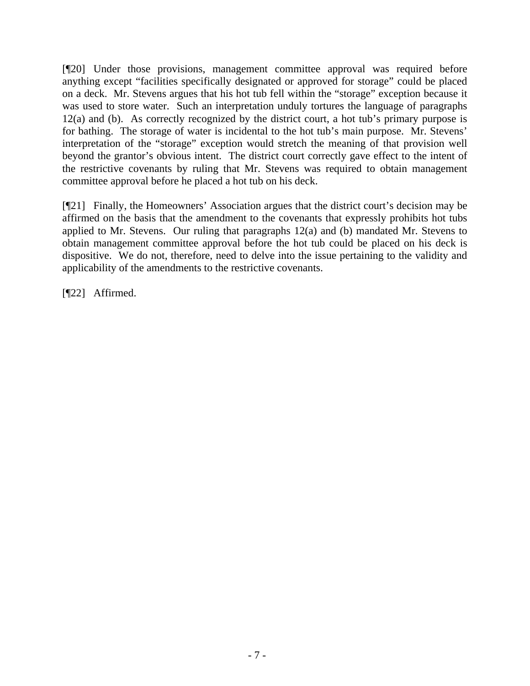[¶20] Under those provisions, management committee approval was required before anything except "facilities specifically designated or approved for storage" could be placed on a deck. Mr. Stevens argues that his hot tub fell within the "storage" exception because it was used to store water. Such an interpretation unduly tortures the language of paragraphs 12(a) and (b). As correctly recognized by the district court, a hot tub's primary purpose is for bathing. The storage of water is incidental to the hot tub's main purpose. Mr. Stevens' interpretation of the "storage" exception would stretch the meaning of that provision well beyond the grantor's obvious intent. The district court correctly gave effect to the intent of the restrictive covenants by ruling that Mr. Stevens was required to obtain management committee approval before he placed a hot tub on his deck.

[¶21] Finally, the Homeowners' Association argues that the district court's decision may be affirmed on the basis that the amendment to the covenants that expressly prohibits hot tubs applied to Mr. Stevens. Our ruling that paragraphs 12(a) and (b) mandated Mr. Stevens to obtain management committee approval before the hot tub could be placed on his deck is dispositive. We do not, therefore, need to delve into the issue pertaining to the validity and applicability of the amendments to the restrictive covenants.

[¶22] Affirmed.